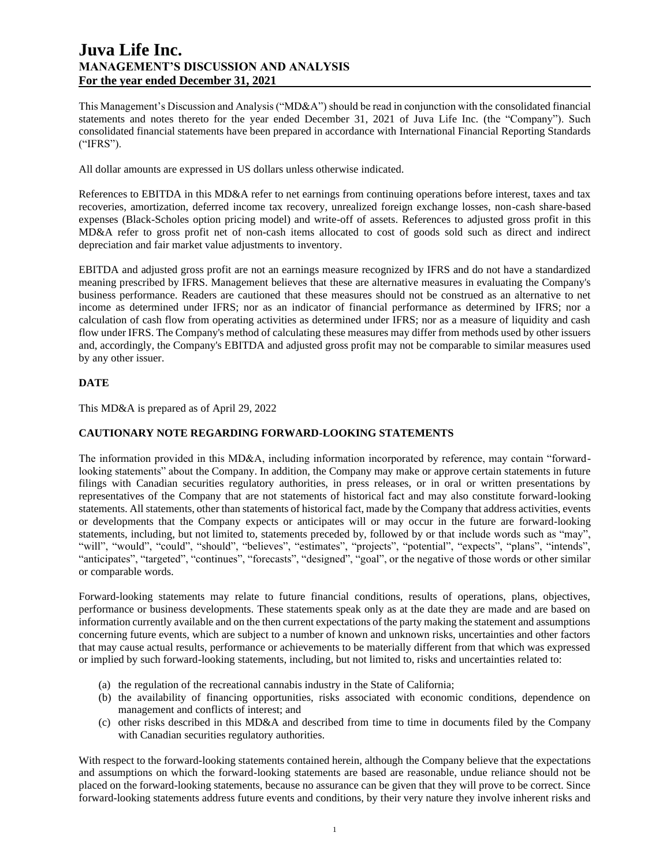This Management's Discussion and Analysis ("MD&A") should be read in conjunction with the consolidated financial statements and notes thereto for the year ended December 31, 2021 of Juva Life Inc. (the "Company"). Such consolidated financial statements have been prepared in accordance with International Financial Reporting Standards ("IFRS").

All dollar amounts are expressed in US dollars unless otherwise indicated.

References to EBITDA in this MD&A refer to net earnings from continuing operations before interest, taxes and tax recoveries, amortization, deferred income tax recovery, unrealized foreign exchange losses, non-cash share-based expenses (Black-Scholes option pricing model) and write-off of assets. References to adjusted gross profit in this MD&A refer to gross profit net of non-cash items allocated to cost of goods sold such as direct and indirect depreciation and fair market value adjustments to inventory.

EBITDA and adjusted gross profit are not an earnings measure recognized by IFRS and do not have a standardized meaning prescribed by IFRS. Management believes that these are alternative measures in evaluating the Company's business performance. Readers are cautioned that these measures should not be construed as an alternative to net income as determined under IFRS; nor as an indicator of financial performance as determined by IFRS; nor a calculation of cash flow from operating activities as determined under IFRS; nor as a measure of liquidity and cash flow under IFRS. The Company's method of calculating these measures may differ from methods used by other issuers and, accordingly, the Company's EBITDA and adjusted gross profit may not be comparable to similar measures used by any other issuer.

## **DATE**

This MD&A is prepared as of April 29, 2022

# **CAUTIONARY NOTE REGARDING FORWARD-LOOKING STATEMENTS**

The information provided in this MD&A, including information incorporated by reference, may contain "forwardlooking statements" about the Company. In addition, the Company may make or approve certain statements in future filings with Canadian securities regulatory authorities, in press releases, or in oral or written presentations by representatives of the Company that are not statements of historical fact and may also constitute forward-looking statements. All statements, other than statements of historical fact, made by the Company that address activities, events or developments that the Company expects or anticipates will or may occur in the future are forward-looking statements, including, but not limited to, statements preceded by, followed by or that include words such as "may", "will", "would", "could", "should", "believes", "estimates", "projects", "potential", "expects", "plans", "intends", "anticipates", "targeted", "continues", "forecasts", "designed", "goal", or the negative of those words or other similar or comparable words.

Forward-looking statements may relate to future financial conditions, results of operations, plans, objectives, performance or business developments. These statements speak only as at the date they are made and are based on information currently available and on the then current expectations of the party making the statement and assumptions concerning future events, which are subject to a number of known and unknown risks, uncertainties and other factors that may cause actual results, performance or achievements to be materially different from that which was expressed or implied by such forward-looking statements, including, but not limited to, risks and uncertainties related to:

- (a) the regulation of the recreational cannabis industry in the State of California;
- (b) the availability of financing opportunities, risks associated with economic conditions, dependence on management and conflicts of interest; and
- (c) other risks described in this MD&A and described from time to time in documents filed by the Company with Canadian securities regulatory authorities.

With respect to the forward-looking statements contained herein, although the Company believe that the expectations and assumptions on which the forward-looking statements are based are reasonable, undue reliance should not be placed on the forward-looking statements, because no assurance can be given that they will prove to be correct. Since forward-looking statements address future events and conditions, by their very nature they involve inherent risks and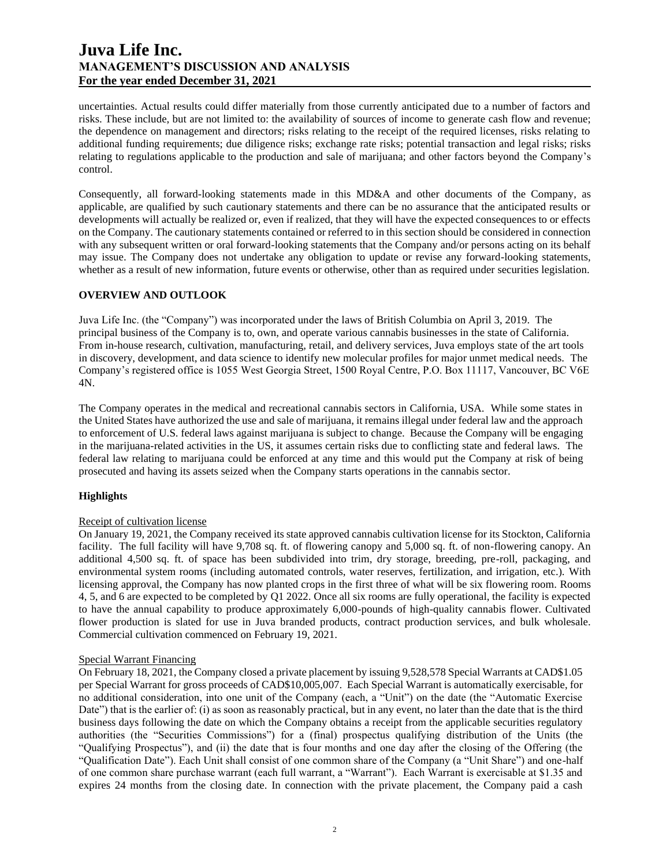uncertainties. Actual results could differ materially from those currently anticipated due to a number of factors and risks. These include, but are not limited to: the availability of sources of income to generate cash flow and revenue; the dependence on management and directors; risks relating to the receipt of the required licenses, risks relating to additional funding requirements; due diligence risks; exchange rate risks; potential transaction and legal risks; risks relating to regulations applicable to the production and sale of marijuana; and other factors beyond the Company's control.

Consequently, all forward-looking statements made in this MD&A and other documents of the Company, as applicable, are qualified by such cautionary statements and there can be no assurance that the anticipated results or developments will actually be realized or, even if realized, that they will have the expected consequences to or effects on the Company. The cautionary statements contained or referred to in this section should be considered in connection with any subsequent written or oral forward-looking statements that the Company and/or persons acting on its behalf may issue. The Company does not undertake any obligation to update or revise any forward-looking statements, whether as a result of new information, future events or otherwise, other than as required under securities legislation.

## **OVERVIEW AND OUTLOOK**

Juva Life Inc. (the "Company") was incorporated under the laws of British Columbia on April 3, 2019. The principal business of the Company is to, own, and operate various cannabis businesses in the state of California. From in-house research, cultivation, manufacturing, retail, and delivery services, Juva employs state of the art tools in discovery, development, and data science to identify new molecular profiles for major unmet medical needs. The Company's registered office is 1055 West Georgia Street, 1500 Royal Centre, P.O. Box 11117, Vancouver, BC V6E 4N.

The Company operates in the medical and recreational cannabis sectors in California, USA. While some states in the United States have authorized the use and sale of marijuana, it remains illegal under federal law and the approach to enforcement of U.S. federal laws against marijuana is subject to change. Because the Company will be engaging in the marijuana-related activities in the US, it assumes certain risks due to conflicting state and federal laws. The federal law relating to marijuana could be enforced at any time and this would put the Company at risk of being prosecuted and having its assets seized when the Company starts operations in the cannabis sector.

## **Highlights**

### Receipt of cultivation license

On January 19, 2021, the Company received its state approved cannabis cultivation license for its Stockton, California facility. The full facility will have 9,708 sq. ft. of flowering canopy and 5,000 sq. ft. of non-flowering canopy. An additional 4,500 sq. ft. of space has been subdivided into trim, dry storage, breeding, pre-roll, packaging, and environmental system rooms (including automated controls, water reserves, fertilization, and irrigation, etc.). With licensing approval, the Company has now planted crops in the first three of what will be six flowering room. Rooms 4, 5, and 6 are expected to be completed by Q1 2022. Once all six rooms are fully operational, the facility is expected to have the annual capability to produce approximately 6,000-pounds of high-quality cannabis flower. Cultivated flower production is slated for use in Juva branded products, contract production services, and bulk wholesale. Commercial cultivation commenced on February 19, 2021.

### Special Warrant Financing

On February 18, 2021, the Company closed a private placement by issuing 9,528,578 Special Warrants at CAD\$1.05 per Special Warrant for gross proceeds of CAD\$10,005,007. Each Special Warrant is automatically exercisable, for no additional consideration, into one unit of the Company (each, a "Unit") on the date (the "Automatic Exercise Date") that is the earlier of: (i) as soon as reasonably practical, but in any event, no later than the date that is the third business days following the date on which the Company obtains a receipt from the applicable securities regulatory authorities (the "Securities Commissions") for a (final) prospectus qualifying distribution of the Units (the "Qualifying Prospectus"), and (ii) the date that is four months and one day after the closing of the Offering (the "Qualification Date"). Each Unit shall consist of one common share of the Company (a "Unit Share") and one-half of one common share purchase warrant (each full warrant, a "Warrant"). Each Warrant is exercisable at \$1.35 and expires 24 months from the closing date. In connection with the private placement, the Company paid a cash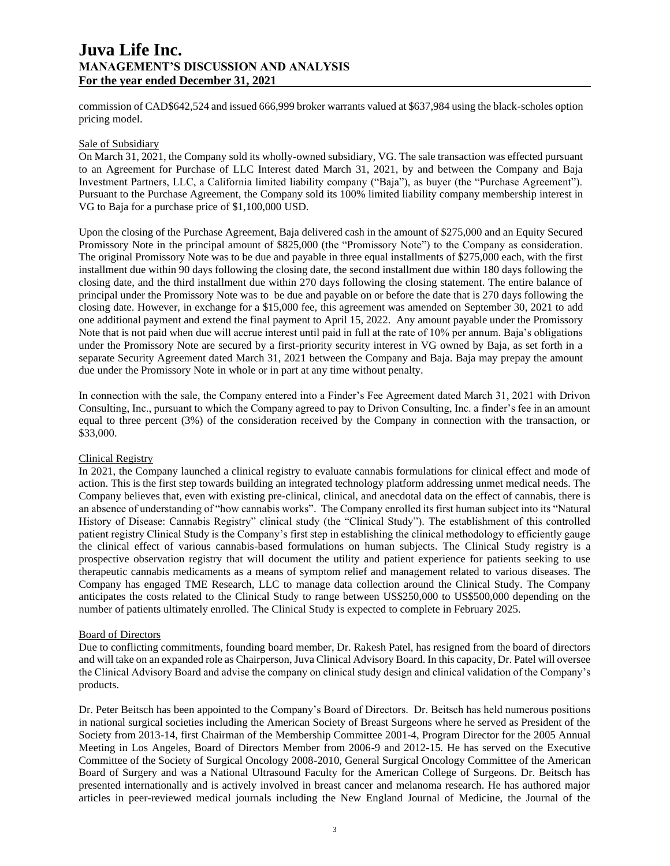commission of CAD\$642,524 and issued 666,999 broker warrants valued at \$637,984 using the black-scholes option pricing model.

## Sale of Subsidiary

On March 31, 2021, the Company sold its wholly-owned subsidiary, VG. The sale transaction was effected pursuant to an Agreement for Purchase of LLC Interest dated March 31, 2021, by and between the Company and Baja Investment Partners, LLC, a California limited liability company ("Baja"), as buyer (the "Purchase Agreement"). Pursuant to the Purchase Agreement, the Company sold its 100% limited liability company membership interest in VG to Baja for a purchase price of \$1,100,000 USD.

Upon the closing of the Purchase Agreement, Baja delivered cash in the amount of \$275,000 and an Equity Secured Promissory Note in the principal amount of \$825,000 (the "Promissory Note") to the Company as consideration. The original Promissory Note was to be due and payable in three equal installments of \$275,000 each, with the first installment due within 90 days following the closing date, the second installment due within 180 days following the closing date, and the third installment due within 270 days following the closing statement. The entire balance of principal under the Promissory Note was to be due and payable on or before the date that is 270 days following the closing date. However, in exchange for a \$15,000 fee, this agreement was amended on September 30, 2021 to add one additional payment and extend the final payment to April 15, 2022. Any amount payable under the Promissory Note that is not paid when due will accrue interest until paid in full at the rate of 10% per annum. Baja's obligations under the Promissory Note are secured by a first-priority security interest in VG owned by Baja, as set forth in a separate Security Agreement dated March 31, 2021 between the Company and Baja. Baja may prepay the amount due under the Promissory Note in whole or in part at any time without penalty.

In connection with the sale, the Company entered into a Finder's Fee Agreement dated March 31, 2021 with Drivon Consulting, Inc., pursuant to which the Company agreed to pay to Drivon Consulting, Inc. a finder's fee in an amount equal to three percent (3%) of the consideration received by the Company in connection with the transaction, or \$33,000.

#### Clinical Registry

In 2021, the Company launched a clinical registry to evaluate cannabis formulations for clinical effect and mode of action. This is the first step towards building an integrated technology platform addressing unmet medical needs. The Company believes that, even with existing pre-clinical, clinical, and anecdotal data on the effect of cannabis, there is an absence of understanding of "how cannabis works". The Company enrolled its first human subject into its "Natural History of Disease: Cannabis Registry" clinical study (the "Clinical Study"). The establishment of this controlled patient registry Clinical Study is the Company's first step in establishing the clinical methodology to efficiently gauge the clinical effect of various cannabis-based formulations on human subjects. The Clinical Study registry is a prospective observation registry that will document the utility and patient experience for patients seeking to use therapeutic cannabis medicaments as a means of symptom relief and management related to various diseases. The Company has engaged TME Research, LLC to manage data collection around the Clinical Study. The Company anticipates the costs related to the Clinical Study to range between US\$250,000 to US\$500,000 depending on the number of patients ultimately enrolled. The Clinical Study is expected to complete in February 2025.

#### Board of Directors

Due to conflicting commitments, founding board member, Dr. Rakesh Patel, has resigned from the board of directors and will take on an expanded role as Chairperson, Juva Clinical Advisory Board. In this capacity, Dr. Patel will oversee the Clinical Advisory Board and advise the company on clinical study design and clinical validation of the Company's products.

Dr. Peter Beitsch has been appointed to the Company's Board of Directors. Dr. Beitsch has held numerous positions in national surgical societies including the American Society of Breast Surgeons where he served as President of the Society from 2013-14, first Chairman of the Membership Committee 2001-4, Program Director for the 2005 Annual Meeting in Los Angeles, Board of Directors Member from 2006-9 and 2012-15. He has served on the Executive Committee of the Society of Surgical Oncology 2008-2010, General Surgical Oncology Committee of the American Board of Surgery and was a National Ultrasound Faculty for the American College of Surgeons. Dr. Beitsch has presented internationally and is actively involved in breast cancer and melanoma research. He has authored major articles in peer-reviewed medical journals including the New England Journal of Medicine, the Journal of the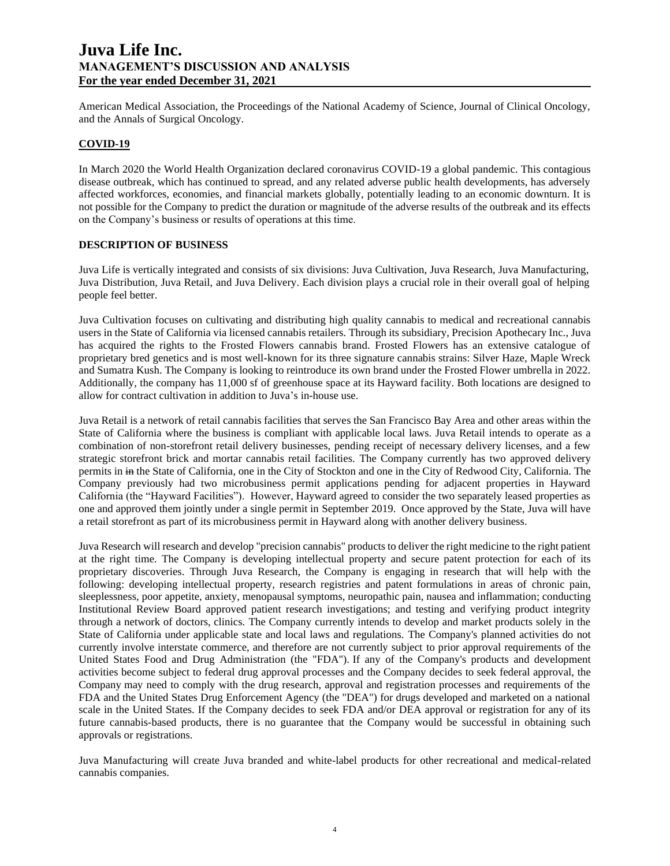American Medical Association, the Proceedings of the National Academy of Science, Journal of Clinical Oncology, and the Annals of Surgical Oncology.

## **COVID-19**

In March 2020 the World Health Organization declared coronavirus COVID-19 a global pandemic. This contagious disease outbreak, which has continued to spread, and any related adverse public health developments, has adversely affected workforces, economies, and financial markets globally, potentially leading to an economic downturn. It is not possible for the Company to predict the duration or magnitude of the adverse results of the outbreak and its effects on the Company's business or results of operations at this time.

### **DESCRIPTION OF BUSINESS**

Juva Life is vertically integrated and consists of six divisions: Juva Cultivation, Juva Research, Juva Manufacturing, Juva Distribution, Juva Retail, and Juva Delivery. Each division plays a crucial role in their overall goal of helping people feel better.

Juva Cultivation focuses on cultivating and distributing high quality cannabis to medical and recreational cannabis users in the State of California via licensed cannabis retailers. Through its subsidiary, Precision Apothecary Inc., Juva has acquired the rights to the Frosted Flowers cannabis brand. Frosted Flowers has an extensive catalogue of proprietary bred genetics and is most well-known for its three signature cannabis strains: Silver Haze, Maple Wreck and Sumatra Kush. The Company is looking to reintroduce its own brand under the Frosted Flower umbrella in 2022. Additionally, the company has 11,000 sf of greenhouse space at its Hayward facility. Both locations are designed to allow for contract cultivation in addition to Juva's in-house use.

Juva Retail is a network of retail cannabis facilities that serves the San Francisco Bay Area and other areas within the State of California where the business is compliant with applicable local laws. Juva Retail intends to operate as a combination of non-storefront retail delivery businesses, pending receipt of necessary delivery licenses, and a few strategic storefront brick and mortar cannabis retail facilities. The Company currently has two approved delivery permits in in the State of California, one in the City of Stockton and one in the City of Redwood City, California. The Company previously had two microbusiness permit applications pending for adjacent properties in Hayward California (the "Hayward Facilities"). However, Hayward agreed to consider the two separately leased properties as one and approved them jointly under a single permit in September 2019. Once approved by the State, Juva will have a retail storefront as part of its microbusiness permit in Hayward along with another delivery business.

Juva Research will research and develop "precision cannabis" products to deliver the right medicine to the right patient at the right time. The Company is developing intellectual property and secure patent protection for each of its proprietary discoveries. Through Juva Research, the Company is engaging in research that will help with the following: developing intellectual property, research registries and patent formulations in areas of chronic pain, sleeplessness, poor appetite, anxiety, menopausal symptoms, neuropathic pain, nausea and inflammation; conducting Institutional Review Board approved patient research investigations; and testing and verifying product integrity through a network of doctors, clinics. The Company currently intends to develop and market products solely in the State of California under applicable state and local laws and regulations. The Company's planned activities do not currently involve interstate commerce, and therefore are not currently subject to prior approval requirements of the United States Food and Drug Administration (the "FDA"). If any of the Company's products and development activities become subject to federal drug approval processes and the Company decides to seek federal approval, the Company may need to comply with the drug research, approval and registration processes and requirements of the FDA and the United States Drug Enforcement Agency (the "DEA") for drugs developed and marketed on a national scale in the United States. If the Company decides to seek FDA and/or DEA approval or registration for any of its future cannabis-based products, there is no guarantee that the Company would be successful in obtaining such approvals or registrations.

Juva Manufacturing will create Juva branded and white-label products for other recreational and medical-related cannabis companies.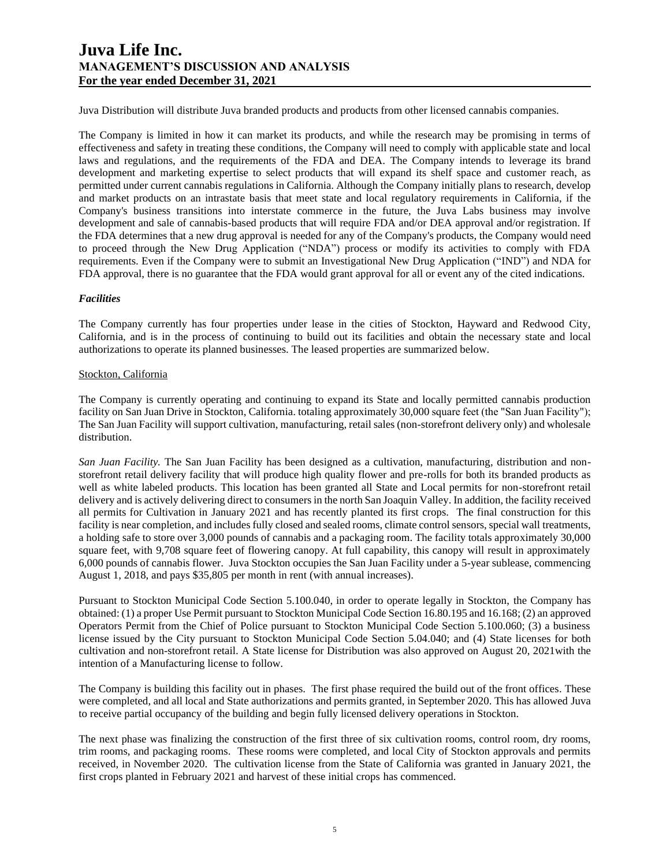Juva Distribution will distribute Juva branded products and products from other licensed cannabis companies.

The Company is limited in how it can market its products, and while the research may be promising in terms of effectiveness and safety in treating these conditions, the Company will need to comply with applicable state and local laws and regulations, and the requirements of the FDA and DEA. The Company intends to leverage its brand development and marketing expertise to select products that will expand its shelf space and customer reach, as permitted under current cannabis regulations in California. Although the Company initially plans to research, develop and market products on an intrastate basis that meet state and local regulatory requirements in California, if the Company's business transitions into interstate commerce in the future, the Juva Labs business may involve development and sale of cannabis-based products that will require FDA and/or DEA approval and/or registration. If the FDA determines that a new drug approval is needed for any of the Company's products, the Company would need to proceed through the New Drug Application ("NDA") process or modify its activities to comply with FDA requirements. Even if the Company were to submit an Investigational New Drug Application ("IND") and NDA for FDA approval, there is no guarantee that the FDA would grant approval for all or event any of the cited indications.

## *Facilities*

The Company currently has four properties under lease in the cities of Stockton, Hayward and Redwood City, California, and is in the process of continuing to build out its facilities and obtain the necessary state and local authorizations to operate its planned businesses. The leased properties are summarized below.

### Stockton, California

The Company is currently operating and continuing to expand its State and locally permitted cannabis production facility on San Juan Drive in Stockton, California. totaling approximately 30,000 square feet (the "San Juan Facility"); The San Juan Facility will support cultivation, manufacturing, retail sales (non-storefront delivery only) and wholesale distribution.

*San Juan Facility.* The San Juan Facility has been designed as a cultivation, manufacturing, distribution and nonstorefront retail delivery facility that will produce high quality flower and pre-rolls for both its branded products as well as white labeled products. This location has been granted all State and Local permits for non-storefront retail delivery and is actively delivering direct to consumers in the north San Joaquin Valley. In addition, the facility received all permits for Cultivation in January 2021 and has recently planted its first crops. The final construction for this facility is near completion, and includes fully closed and sealed rooms, climate control sensors, special wall treatments, a holding safe to store over 3,000 pounds of cannabis and a packaging room. The facility totals approximately 30,000 square feet, with 9,708 square feet of flowering canopy. At full capability, this canopy will result in approximately 6,000 pounds of cannabis flower. Juva Stockton occupies the San Juan Facility under a 5-year sublease, commencing August 1, 2018, and pays \$35,805 per month in rent (with annual increases).

Pursuant to Stockton Municipal Code Section 5.100.040, in order to operate legally in Stockton, the Company has obtained: (1) a proper Use Permit pursuant to Stockton Municipal Code Section 16.80.195 and 16.168; (2) an approved Operators Permit from the Chief of Police pursuant to Stockton Municipal Code Section 5.100.060; (3) a business license issued by the City pursuant to Stockton Municipal Code Section 5.04.040; and (4) State licenses for both cultivation and non-storefront retail. A State license for Distribution was also approved on August 20, 2021with the intention of a Manufacturing license to follow.

The Company is building this facility out in phases. The first phase required the build out of the front offices. These were completed, and all local and State authorizations and permits granted, in September 2020. This has allowed Juva to receive partial occupancy of the building and begin fully licensed delivery operations in Stockton.

The next phase was finalizing the construction of the first three of six cultivation rooms, control room, dry rooms, trim rooms, and packaging rooms. These rooms were completed, and local City of Stockton approvals and permits received, in November 2020. The cultivation license from the State of California was granted in January 2021, the first crops planted in February 2021 and harvest of these initial crops has commenced.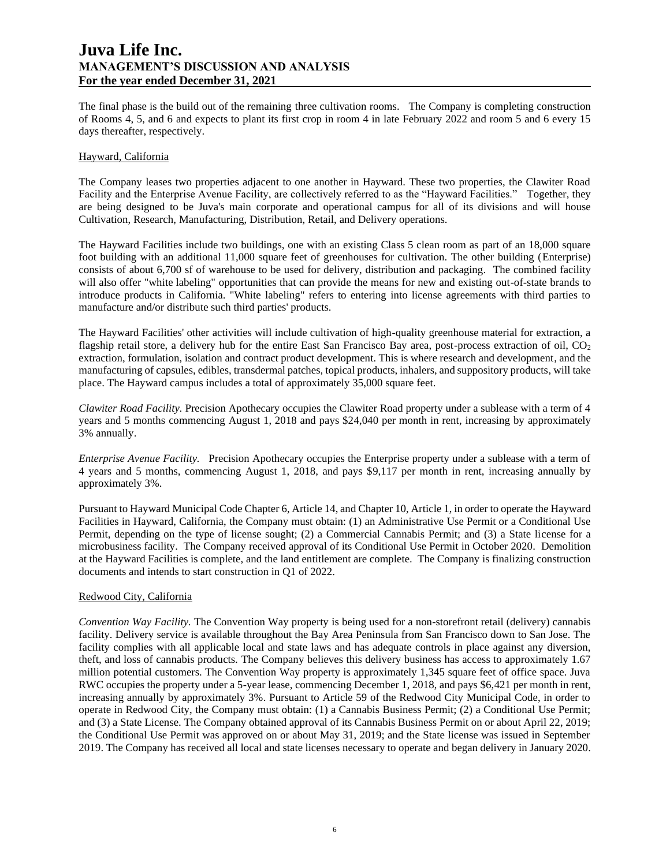The final phase is the build out of the remaining three cultivation rooms. The Company is completing construction of Rooms 4, 5, and 6 and expects to plant its first crop in room 4 in late February 2022 and room 5 and 6 every 15 days thereafter, respectively.

### Hayward, California

The Company leases two properties adjacent to one another in Hayward. These two properties, the Clawiter Road Facility and the Enterprise Avenue Facility, are collectively referred to as the "Hayward Facilities." Together, they are being designed to be Juva's main corporate and operational campus for all of its divisions and will house Cultivation, Research, Manufacturing, Distribution, Retail, and Delivery operations.

The Hayward Facilities include two buildings, one with an existing Class 5 clean room as part of an 18,000 square foot building with an additional 11,000 square feet of greenhouses for cultivation. The other building (Enterprise) consists of about 6,700 sf of warehouse to be used for delivery, distribution and packaging. The combined facility will also offer "white labeling" opportunities that can provide the means for new and existing out-of-state brands to introduce products in California. "White labeling" refers to entering into license agreements with third parties to manufacture and/or distribute such third parties' products.

The Hayward Facilities' other activities will include cultivation of high-quality greenhouse material for extraction, a flagship retail store, a delivery hub for the entire East San Francisco Bay area, post-process extraction of oil,  $CO<sub>2</sub>$ extraction, formulation, isolation and contract product development. This is where research and development, and the manufacturing of capsules, edibles, transdermal patches, topical products, inhalers, and suppository products, will take place. The Hayward campus includes a total of approximately 35,000 square feet.

*Clawiter Road Facility.* Precision Apothecary occupies the Clawiter Road property under a sublease with a term of 4 years and 5 months commencing August 1, 2018 and pays \$24,040 per month in rent, increasing by approximately 3% annually.

*Enterprise Avenue Facility.* Precision Apothecary occupies the Enterprise property under a sublease with a term of 4 years and 5 months, commencing August 1, 2018, and pays \$9,117 per month in rent, increasing annually by approximately 3%.

Pursuant to Hayward Municipal Code Chapter 6, Article 14, and Chapter 10, Article 1, in order to operate the Hayward Facilities in Hayward, California, the Company must obtain: (1) an Administrative Use Permit or a Conditional Use Permit, depending on the type of license sought; (2) a Commercial Cannabis Permit; and (3) a State license for a microbusiness facility. The Company received approval of its Conditional Use Permit in October 2020. Demolition at the Hayward Facilities is complete, and the land entitlement are complete. The Company is finalizing construction documents and intends to start construction in Q1 of 2022.

### Redwood City, California

*Convention Way Facility.* The Convention Way property is being used for a non-storefront retail (delivery) cannabis facility. Delivery service is available throughout the Bay Area Peninsula from San Francisco down to San Jose. The facility complies with all applicable local and state laws and has adequate controls in place against any diversion, theft, and loss of cannabis products. The Company believes this delivery business has access to approximately 1.67 million potential customers. The Convention Way property is approximately 1,345 square feet of office space. Juva RWC occupies the property under a 5-year lease, commencing December 1, 2018, and pays \$6,421 per month in rent, increasing annually by approximately 3%. Pursuant to Article 59 of the Redwood City Municipal Code, in order to operate in Redwood City, the Company must obtain: (1) a Cannabis Business Permit; (2) a Conditional Use Permit; and (3) a State License. The Company obtained approval of its Cannabis Business Permit on or about April 22, 2019; the Conditional Use Permit was approved on or about May 31, 2019; and the State license was issued in September 2019. The Company has received all local and state licenses necessary to operate and began delivery in January 2020.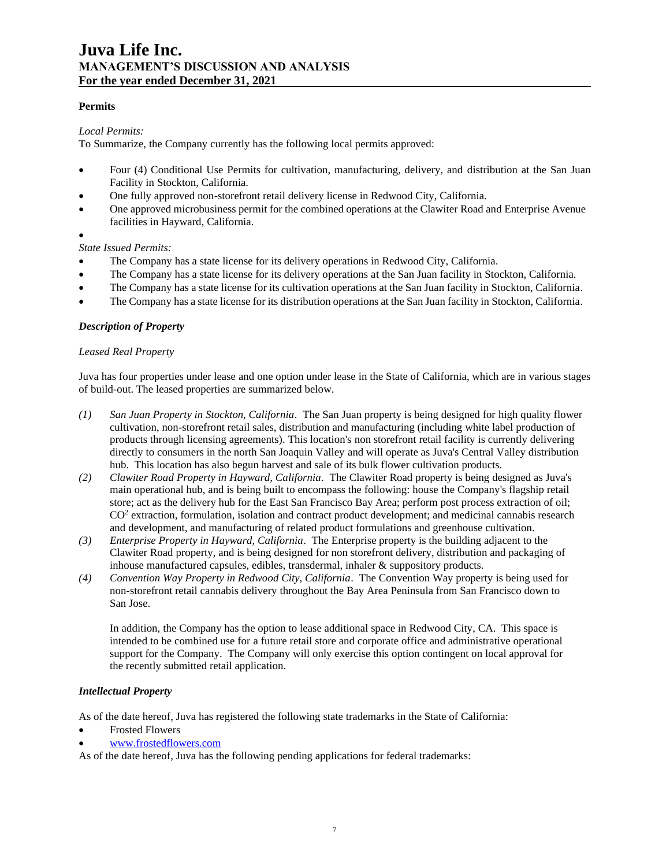## **Permits**

## *Local Permits:*

To Summarize, the Company currently has the following local permits approved:

- Four (4) Conditional Use Permits for cultivation, manufacturing, delivery, and distribution at the San Juan Facility in Stockton, California.
- One fully approved non-storefront retail delivery license in Redwood City, California.
- One approved microbusiness permit for the combined operations at the Clawiter Road and Enterprise Avenue facilities in Hayward, California.
- •

*State Issued Permits:*

- The Company has a state license for its delivery operations in Redwood City, California.
- The Company has a state license for its delivery operations at the San Juan facility in Stockton, California.
- The Company has a state license for its cultivation operations at the San Juan facility in Stockton, California.
- The Company has a state license for its distribution operations at the San Juan facility in Stockton, California.

## *Description of Property*

### *Leased Real Property*

Juva has four properties under lease and one option under lease in the State of California, which are in various stages of build-out. The leased properties are summarized below.

- *(1) San Juan Property in Stockton, California*. The San Juan property is being designed for high quality flower cultivation, non-storefront retail sales, distribution and manufacturing (including white label production of products through licensing agreements). This location's non storefront retail facility is currently delivering directly to consumers in the north San Joaquin Valley and will operate as Juva's Central Valley distribution hub. This location has also begun harvest and sale of its bulk flower cultivation products.
- *(2) Clawiter Road Property in Hayward, California*. The Clawiter Road property is being designed as Juva's main operational hub, and is being built to encompass the following: house the Company's flagship retail store; act as the delivery hub for the East San Francisco Bay Area; perform post process extraction of oil; CO<sup>2</sup> extraction, formulation, isolation and contract product development; and medicinal cannabis research and development, and manufacturing of related product formulations and greenhouse cultivation.
- *(3) Enterprise Property in Hayward, California*. The Enterprise property is the building adjacent to the Clawiter Road property, and is being designed for non storefront delivery, distribution and packaging of inhouse manufactured capsules, edibles, transdermal, inhaler & suppository products.
- *(4) Convention Way Property in Redwood City, California*. The Convention Way property is being used for non-storefront retail cannabis delivery throughout the Bay Area Peninsula from San Francisco down to San Jose.

In addition, the Company has the option to lease additional space in Redwood City, CA. This space is intended to be combined use for a future retail store and corporate office and administrative operational support for the Company. The Company will only exercise this option contingent on local approval for the recently submitted retail application.

### *Intellectual Property*

As of the date hereof, Juva has registered the following state trademarks in the State of California:

- Frosted Flowers
- [www.frostedflowers.com](http://www.frostedflowers.com/)

As of the date hereof, Juva has the following pending applications for federal trademarks: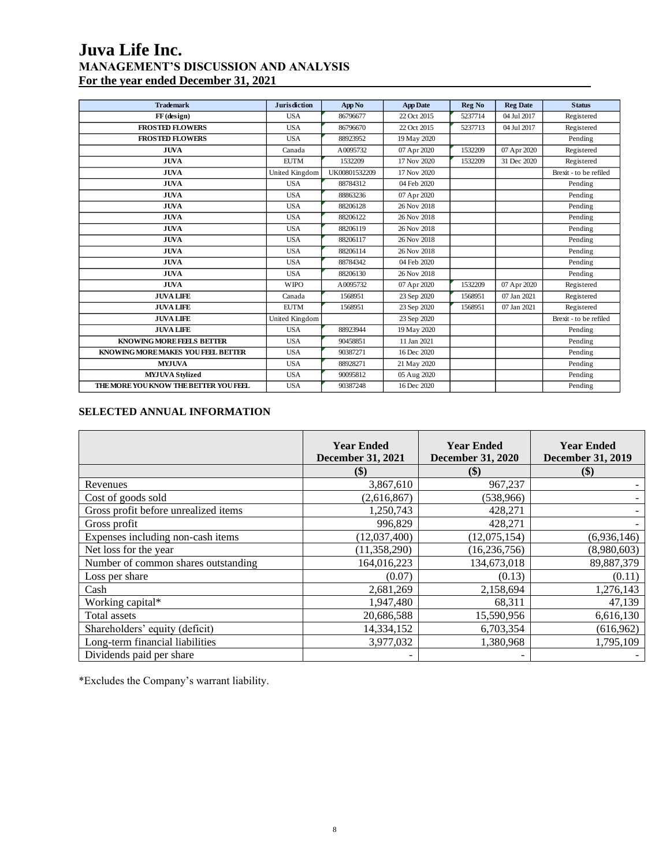| <b>Trademark</b>                      | <b>Jurisdiction</b> | App No        | <b>App Date</b> | Reg No  | <b>Reg Date</b> | <b>Status</b>          |
|---------------------------------------|---------------------|---------------|-----------------|---------|-----------------|------------------------|
| $FF$ (design)                         | <b>USA</b>          | 86796677      | 22 Oct 2015     | 5237714 | 04 Jul 2017     | Registered             |
| <b>FROSTED FLOWERS</b>                | <b>USA</b>          | 86796670      | 22 Oct 2015     | 5237713 | 04 Jul 2017     | Registered             |
| <b>FROSTED FLOWERS</b>                | <b>USA</b>          | 88923952      | 19 May 2020     |         |                 | Pending                |
| <b>JUVA</b>                           | Canada              | A0095732      | 07 Apr 2020     | 1532209 | 07 Apr 2020     | Registered             |
| <b>JUVA</b>                           | <b>EUTM</b>         | 1532209       | 17 Nov 2020     | 1532209 | 31 Dec 2020     | Registered             |
| <b>JUVA</b>                           | United Kingdom      | UK00801532209 | 17 Nov 2020     |         |                 | Brexit - to be refiled |
| <b>JUVA</b>                           | <b>USA</b>          | 88784312      | 04 Feb 2020     |         |                 | Pending                |
| <b>JUVA</b>                           | <b>USA</b>          | 88863236      | 07 Apr 2020     |         |                 | Pending                |
| <b>JUVA</b>                           | <b>USA</b>          | 88206128      | 26 Nov 2018     |         |                 | Pending                |
| <b>JUVA</b>                           | <b>USA</b>          | 88206122      | 26 Nov 2018     |         |                 | Pending                |
| <b>JUVA</b>                           | <b>USA</b>          | 88206119      | 26 Nov 2018     |         |                 | Pending                |
| <b>JUVA</b>                           | <b>USA</b>          | 88206117      | 26 Nov 2018     |         |                 | Pending                |
| <b>JUVA</b>                           | <b>USA</b>          | 88206114      | 26 Nov 2018     |         |                 | Pending                |
| <b>JUVA</b>                           | <b>USA</b>          | 88784342      | 04 Feb 2020     |         |                 | Pending                |
| <b>JUVA</b>                           | <b>USA</b>          | 88206130      | 26 Nov 2018     |         |                 | Pending                |
| <b>JUVA</b>                           | <b>WIPO</b>         | A0095732      | 07 Apr 2020     | 1532209 | 07 Apr 2020     | Registered             |
| <b>JUVA LIFE</b>                      | Canada              | 1568951       | 23 Sep 2020     | 1568951 | 07 Jan 2021     | Registered             |
| <b>JUVA LIFE</b>                      | <b>EUTM</b>         | 1568951       | 23 Sep 2020     | 1568951 | 07 Jan 2021     | Registered             |
| <b>JUVA LIFE</b>                      | United Kingdom      |               | 23 Sep 2020     |         |                 | Brexit - to be refiled |
| <b>JUVA LIFE</b>                      | <b>USA</b>          | 88923944      | 19 May 2020     |         |                 | Pending                |
| KNOWING MORE FEELS BETTER             | <b>USA</b>          | 90458851      | 11 Jan 2021     |         |                 | Pending                |
| KNOWING MORE MAKES YOU FEEL BEITER    | <b>USA</b>          | 90387271      | 16 Dec 2020     |         |                 | Pending                |
| <b>MYJUVA</b>                         | <b>USA</b>          | 88928271      | 21 May 2020     |         |                 | Pending                |
| <b>MYJUVA Stylized</b>                | <b>USA</b>          | 90095812      | 05 Aug 2020     |         |                 | Pending                |
| THE MORE YOU KNOW THE BETTER YOU FEEL | <b>USA</b>          | 90387248      | 16 Dec 2020     |         |                 | Pending                |

# **SELECTED ANNUAL INFORMATION**

|                                      | <b>Year Ended</b><br><b>December 31, 2021</b> | <b>Year Ended</b><br><b>December 31, 2020</b> | <b>Year Ended</b><br><b>December 31, 2019</b> |
|--------------------------------------|-----------------------------------------------|-----------------------------------------------|-----------------------------------------------|
|                                      | \$)                                           | \$)                                           | $\left( \mathbb{S}\right)$                    |
| Revenues                             | 3,867,610                                     | 967,237                                       |                                               |
| Cost of goods sold                   | (2,616,867)                                   | (538,966)                                     |                                               |
| Gross profit before unrealized items | 1,250,743                                     | 428,271                                       |                                               |
| Gross profit                         | 996,829                                       | 428,271                                       |                                               |
| Expenses including non-cash items    | (12,037,400)                                  | (12,075,154)                                  | (6,936,146)                                   |
| Net loss for the year                | (11, 358, 290)                                | (16, 236, 756)                                | (8,980,603)                                   |
| Number of common shares outstanding  | 164,016,223                                   | 134,673,018                                   | 89,887,379                                    |
| Loss per share                       | (0.07)                                        | (0.13)                                        | (0.11)                                        |
| Cash                                 | 2,681,269                                     | 2,158,694                                     | 1,276,143                                     |
| Working capital*                     | 1,947,480                                     | 68,311                                        | 47,139                                        |
| Total assets                         | 20,686,588                                    | 15,590,956                                    | 6,616,130                                     |
| Shareholders' equity (deficit)       | 14,334,152                                    | 6,703,354                                     | (616,962)                                     |
| Long-term financial liabilities      | 3,977,032                                     | 1,380,968                                     | 1,795,109                                     |
| Dividends paid per share             |                                               |                                               |                                               |

\*Excludes the Company's warrant liability.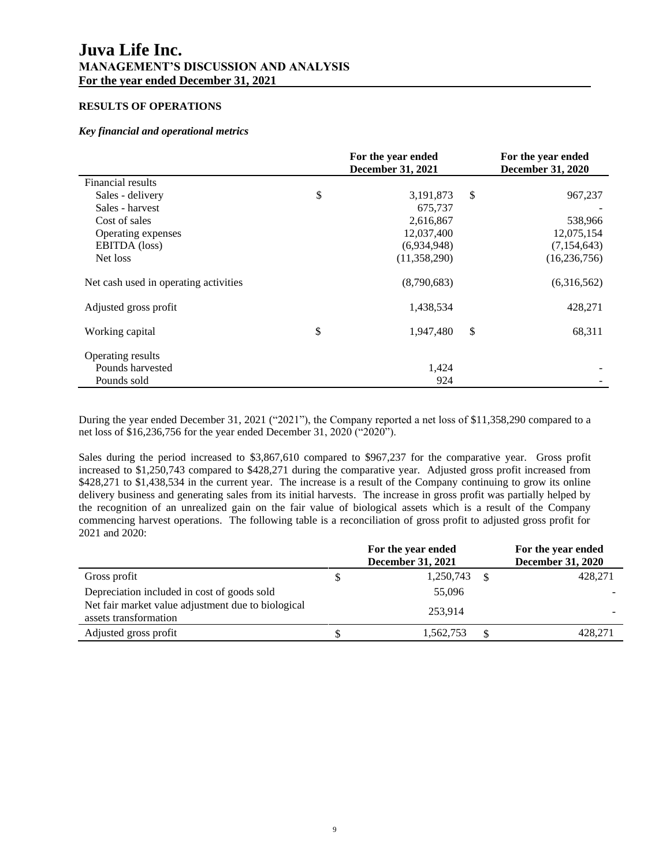## **RESULTS OF OPERATIONS**

## *Key financial and operational metrics*

|                                       | For the year ended<br><b>December 31, 2021</b> |              | For the year ended<br><b>December 31, 2020</b> |
|---------------------------------------|------------------------------------------------|--------------|------------------------------------------------|
| Financial results                     |                                                |              |                                                |
| Sales - delivery                      | \$<br>3,191,873                                | $\mathbb{S}$ | 967,237                                        |
| Sales - harvest                       | 675,737                                        |              |                                                |
| Cost of sales                         | 2,616,867                                      |              | 538,966                                        |
| Operating expenses                    | 12,037,400                                     |              | 12,075,154                                     |
| EBITDA (loss)                         | (6,934,948)                                    |              | (7,154,643)                                    |
| Net loss                              | (11,358,290)                                   |              | (16, 236, 756)                                 |
| Net cash used in operating activities | (8,790,683)                                    |              | (6,316,562)                                    |
| Adjusted gross profit                 | 1,438,534                                      |              | 428,271                                        |
| Working capital                       | \$<br>1,947,480                                | \$           | 68,311                                         |
| Operating results                     |                                                |              |                                                |
| Pounds harvested                      | 1,424                                          |              |                                                |
| Pounds sold                           | 924                                            |              |                                                |

During the year ended December 31, 2021 ("2021"), the Company reported a net loss of \$11,358,290 compared to a net loss of \$16,236,756 for the year ended December 31, 2020 ("2020").

Sales during the period increased to \$3,867,610 compared to \$967,237 for the comparative year. Gross profit increased to \$1,250,743 compared to \$428,271 during the comparative year. Adjusted gross profit increased from \$428,271 to \$1,438,534 in the current year. The increase is a result of the Company continuing to grow its online delivery business and generating sales from its initial harvests. The increase in gross profit was partially helped by the recognition of an unrealized gain on the fair value of biological assets which is a result of the Company commencing harvest operations. The following table is a reconciliation of gross profit to adjusted gross profit for 2021 and 2020:

|                                                                             | For the year ended<br><b>December 31, 2021</b> |    | For the year ended<br><b>December 31, 2020</b> |
|-----------------------------------------------------------------------------|------------------------------------------------|----|------------------------------------------------|
| Gross profit                                                                | 1,250,743                                      | -S | 428,271                                        |
| Depreciation included in cost of goods sold                                 | 55,096                                         |    |                                                |
| Net fair market value adjustment due to biological<br>assets transformation | 253.914                                        |    |                                                |
| Adjusted gross profit                                                       | 1,562,753                                      |    | 428.271                                        |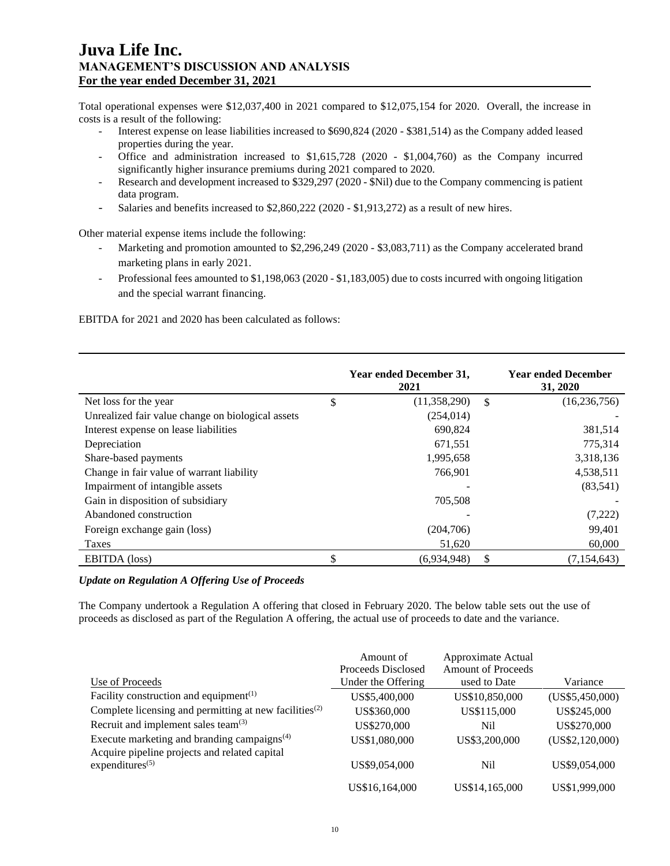Total operational expenses were \$12,037,400 in 2021 compared to \$12,075,154 for 2020. Overall, the increase in costs is a result of the following:

- Interest expense on lease liabilities increased to \$690,824 (2020 \$381,514) as the Company added leased properties during the year.
- Office and administration increased to \$1,615,728 (2020 \$1,004,760) as the Company incurred significantly higher insurance premiums during 2021 compared to 2020.
- Research and development increased to \$329,297 (2020 \$Nil) due to the Company commencing is patient data program.
- Salaries and benefits increased to \$2,860,222 (2020 \$1,913,272) as a result of new hires.

Other material expense items include the following:

- Marketing and promotion amounted to \$2,296,249 (2020 \$3,083,711) as the Company accelerated brand marketing plans in early 2021.
- Professional fees amounted to \$1,198,063 (2020 \$1,183,005) due to costs incurred with ongoing litigation and the special warrant financing.

EBITDA for 2021 and 2020 has been calculated as follows:

|                                                   | Year ended December 31,<br>2021 |     | <b>Year ended December</b><br>31, 2020 |
|---------------------------------------------------|---------------------------------|-----|----------------------------------------|
| Net loss for the year                             | \$<br>(11,358,290)              | \$. | (16, 236, 756)                         |
| Unrealized fair value change on biological assets | (254, 014)                      |     |                                        |
| Interest expense on lease liabilities             | 690,824                         |     | 381,514                                |
| Depreciation                                      | 671,551                         |     | 775,314                                |
| Share-based payments                              | 1,995,658                       |     | 3,318,136                              |
| Change in fair value of warrant liability         | 766,901                         |     | 4,538,511                              |
| Impairment of intangible assets                   |                                 |     | (83, 541)                              |
| Gain in disposition of subsidiary                 | 705.508                         |     |                                        |
| Abandoned construction                            |                                 |     | (7,222)                                |
| Foreign exchange gain (loss)                      | (204,706)                       |     | 99,401                                 |
| Taxes                                             | 51,620                          |     | 60,000                                 |
| EBITDA (loss)                                     | (6,934,948)                     | \$  | (7,154,643)                            |

### *Update on Regulation A Offering Use of Proceeds*

The Company undertook a Regulation A offering that closed in February 2020. The below table sets out the use of proceeds as disclosed as part of the Regulation A offering, the actual use of proceeds to date and the variance.

|                                                                                 | Amount of          | Approximate Actual        |                 |
|---------------------------------------------------------------------------------|--------------------|---------------------------|-----------------|
|                                                                                 | Proceeds Disclosed | <b>Amount of Proceeds</b> |                 |
| Use of Proceeds                                                                 | Under the Offering | used to Date              | Variance        |
| Facility construction and equipment <sup><math>(1)</math></sup>                 | US\$5,400,000      | US\$10,850,000            | (US\$5,450,000) |
| Complete licensing and permitting at new facilities <sup><math>(2)</math></sup> | US\$360,000        | US\$115,000               | US\$245,000     |
| Recruit and implement sales team <sup>(3)</sup>                                 | US\$270,000        | Nil                       | US\$270,000     |
| Execute marketing and branding campaigns $(4)$                                  | US\$1,080,000      | US\$3,200,000             | (US\$2,120,000) |
| Acquire pipeline projects and related capital                                   |                    |                           |                 |
| expenditures $(5)$                                                              | US\$9,054,000      | Nil                       | US\$9,054,000   |
|                                                                                 | US\$16,164,000     | US\$14,165,000            | US\$1,999,000   |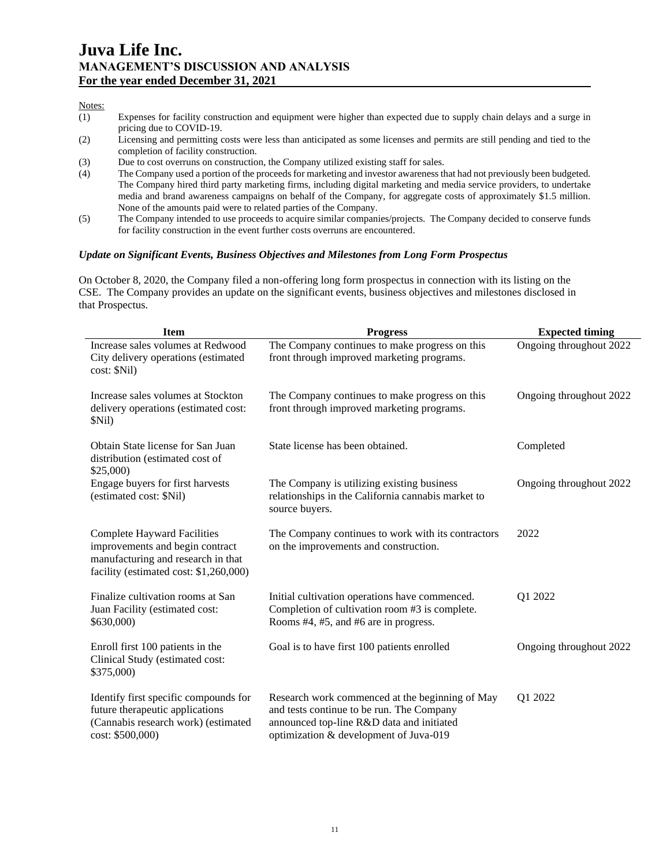### Notes:

- (1) Expenses for facility construction and equipment were higher than expected due to supply chain delays and a surge in pricing due to COVID-19.
- (2) Licensing and permitting costs were less than anticipated as some licenses and permits are still pending and tied to the completion of facility construction.
- (3) Due to cost overruns on construction, the Company utilized existing staff for sales.
- (4) The Company used a portion of the proceeds for marketing and investor awareness that had not previously been budgeted. The Company hired third party marketing firms, including digital marketing and media service providers, to undertake media and brand awareness campaigns on behalf of the Company, for aggregate costs of approximately \$1.5 million. None of the amounts paid were to related parties of the Company.
- (5) The Company intended to use proceeds to acquire similar companies/projects. The Company decided to conserve funds for facility construction in the event further costs overruns are encountered.

### *Update on Significant Events, Business Objectives and Milestones from Long Form Prospectus*

On October 8, 2020, the Company filed a non-offering long form prospectus in connection with its listing on the CSE. The Company provides an update on the significant events, business objectives and milestones disclosed in that Prospectus.

| <b>Item</b>                                                                                                                                           | <b>Progress</b>                                                                                                                                                                     | <b>Expected timing</b>  |
|-------------------------------------------------------------------------------------------------------------------------------------------------------|-------------------------------------------------------------------------------------------------------------------------------------------------------------------------------------|-------------------------|
| Increase sales volumes at Redwood<br>City delivery operations (estimated<br>cost: \$Nil)                                                              | The Company continues to make progress on this<br>front through improved marketing programs.                                                                                        | Ongoing throughout 2022 |
| Increase sales volumes at Stockton<br>delivery operations (estimated cost:<br>\$Nil)                                                                  | The Company continues to make progress on this<br>front through improved marketing programs.                                                                                        | Ongoing throughout 2022 |
| Obtain State license for San Juan<br>distribution (estimated cost of<br>\$25,000                                                                      | State license has been obtained.                                                                                                                                                    | Completed               |
| Engage buyers for first harvests<br>(estimated cost: \$Nil)                                                                                           | The Company is utilizing existing business<br>relationships in the California cannabis market to<br>source buyers.                                                                  | Ongoing throughout 2022 |
| <b>Complete Hayward Facilities</b><br>improvements and begin contract<br>manufacturing and research in that<br>facility (estimated cost: \$1,260,000) | The Company continues to work with its contractors<br>on the improvements and construction.                                                                                         | 2022                    |
| Finalize cultivation rooms at San<br>Juan Facility (estimated cost:<br>\$630,000)                                                                     | Initial cultivation operations have commenced.<br>Completion of cultivation room #3 is complete.<br>Rooms #4, #5, and #6 are in progress.                                           | Q1 2022                 |
| Enroll first 100 patients in the<br>Clinical Study (estimated cost:<br>\$375,000)                                                                     | Goal is to have first 100 patients enrolled                                                                                                                                         | Ongoing throughout 2022 |
| Identify first specific compounds for<br>future therapeutic applications<br>(Cannabis research work) (estimated<br>cost: \$500,000)                   | Research work commenced at the beginning of May<br>and tests continue to be run. The Company<br>announced top-line R&D data and initiated<br>optimization & development of Juva-019 | Q1 2022                 |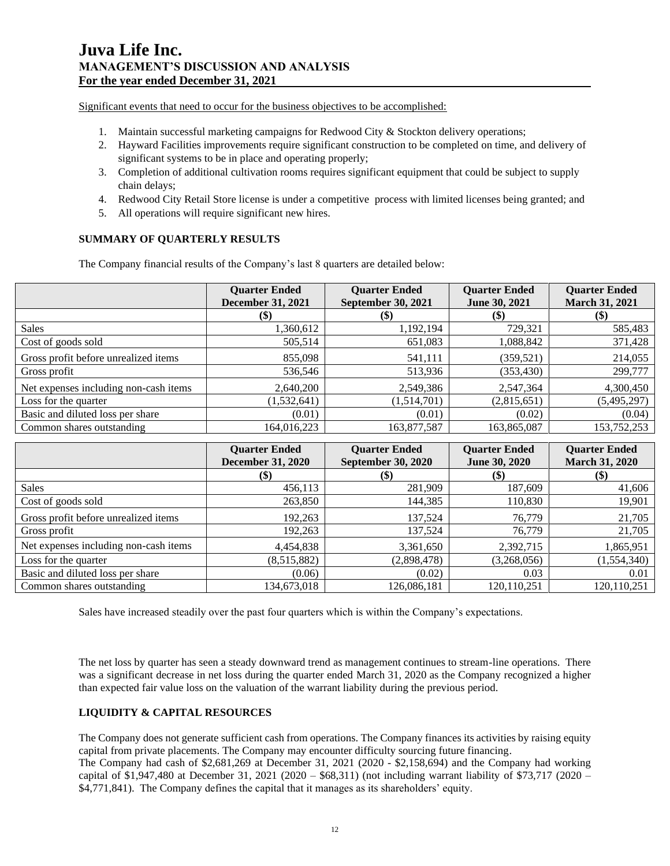Significant events that need to occur for the business objectives to be accomplished:

- 1. Maintain successful marketing campaigns for Redwood City & Stockton delivery operations;
- 2. Hayward Facilities improvements require significant construction to be completed on time, and delivery of significant systems to be in place and operating properly;
- 3. Completion of additional cultivation rooms requires significant equipment that could be subject to supply chain delays;
- 4. Redwood City Retail Store license is under a competitive process with limited licenses being granted; and
- 5. All operations will require significant new hires.

## **SUMMARY OF QUARTERLY RESULTS**

The Company financial results of the Company's last 8 quarters are detailed below:

|                                       | <b>Quarter Ended</b><br><b>December 31, 2021</b> | <b>Quarter Ended</b><br>September 30, 2021 | <b>Quarter Ended</b><br>June 30, 2021 | <b>Quarter Ended</b><br><b>March 31, 2021</b> |
|---------------------------------------|--------------------------------------------------|--------------------------------------------|---------------------------------------|-----------------------------------------------|
|                                       | (\$)                                             | $\left( \text{\$}\right)$                  | $\left( \mathbb{S}\right)$            | $\left( \mathbb{S}\right)$                    |
| <b>Sales</b>                          | 1,360,612                                        | 1,192,194                                  | 729,321                               | 585,483                                       |
| Cost of goods sold                    | 505,514                                          | 651,083                                    | 1,088,842                             | 371,428                                       |
| Gross profit before unrealized items  | 855,098                                          | 541,111                                    | (359, 521)                            | 214,055                                       |
| Gross profit                          | 536,546                                          | 513,936                                    | (353, 430)                            | 299,777                                       |
| Net expenses including non-cash items | 2,640,200                                        | 2,549,386                                  | 2,547,364                             | 4,300,450                                     |
| Loss for the quarter                  | (1, 532, 641)                                    | (1,514,701)                                | (2,815,651)                           | (5,495,297)                                   |
| Basic and diluted loss per share      | (0.01)                                           | (0.01)                                     | (0.02)                                | (0.04)                                        |
| Common shares outstanding             | 164.016.223                                      | 163,877,587                                | 163,865,087                           | 153,752,253                                   |

|                                       | <b>Quarter Ended</b><br><b>December 31, 2020</b> | <b>Quarter Ended</b><br><b>September 30, 2020</b> | <b>Quarter Ended</b><br><b>June 30, 2020</b> | <b>Quarter Ended</b><br><b>March 31, 2020</b> |
|---------------------------------------|--------------------------------------------------|---------------------------------------------------|----------------------------------------------|-----------------------------------------------|
|                                       | \$)                                              | $(\$)$                                            | $\left( \text{\$}\right)$                    | $(\$)$                                        |
| <b>Sales</b>                          | 456,113                                          | 281,909                                           | 187,609                                      | 41,606                                        |
| Cost of goods sold                    | 263,850                                          | 144,385                                           | 110,830                                      | 19,901                                        |
| Gross profit before unrealized items  | 192,263                                          | 137,524                                           | 76,779                                       | 21,705                                        |
| Gross profit                          | 192,263                                          | 137,524                                           | 76,779                                       | 21,705                                        |
| Net expenses including non-cash items | 4,454,838                                        | 3,361,650                                         | 2,392,715                                    | 1,865,951                                     |
| Loss for the quarter                  | (8,515,882)                                      | (2,898,478)                                       | (3,268,056)                                  | (1,554,340)                                   |
| Basic and diluted loss per share      | (0.06)                                           | (0.02)                                            | 0.03                                         | 0.01                                          |
| Common shares outstanding             | 134,673,018                                      | 126,086,181                                       | 120.110.251                                  | 120,110,251                                   |

Sales have increased steadily over the past four quarters which is within the Company's expectations.

The net loss by quarter has seen a steady downward trend as management continues to stream-line operations. There was a significant decrease in net loss during the quarter ended March 31, 2020 as the Company recognized a higher than expected fair value loss on the valuation of the warrant liability during the previous period.

# **LIQUIDITY & CAPITAL RESOURCES**

The Company does not generate sufficient cash from operations. The Company finances its activities by raising equity capital from private placements. The Company may encounter difficulty sourcing future financing.

The Company had cash of \$2,681,269 at December 31, 2021 (2020 - \$2,158,694) and the Company had working capital of \$1,947,480 at December 31, 2021 (2020 – \$68,311) (not including warrant liability of \$73,717 (2020 – \$4,771,841). The Company defines the capital that it manages as its shareholders' equity.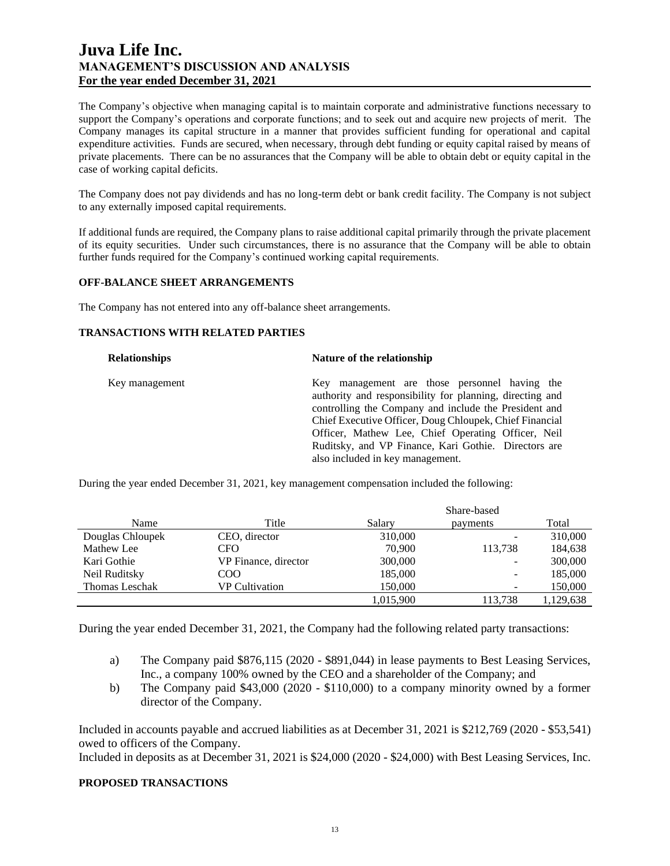The Company's objective when managing capital is to maintain corporate and administrative functions necessary to support the Company's operations and corporate functions; and to seek out and acquire new projects of merit. The Company manages its capital structure in a manner that provides sufficient funding for operational and capital expenditure activities. Funds are secured, when necessary, through debt funding or equity capital raised by means of private placements. There can be no assurances that the Company will be able to obtain debt or equity capital in the case of working capital deficits.

The Company does not pay dividends and has no long-term debt or bank credit facility. The Company is not subject to any externally imposed capital requirements.

If additional funds are required, the Company plans to raise additional capital primarily through the private placement of its equity securities. Under such circumstances, there is no assurance that the Company will be able to obtain further funds required for the Company's continued working capital requirements.

## **OFF-BALANCE SHEET ARRANGEMENTS**

The Company has not entered into any off-balance sheet arrangements.

## **TRANSACTIONS WITH RELATED PARTIES**

| <b>Relationships</b> | Nature of the relationship                               |
|----------------------|----------------------------------------------------------|
| Key management       | Key management are those personnel having the            |
|                      | authority and responsibility for planning, directing and |
|                      | controlling the Company and include the President and    |
|                      | Chief Executive Officer, Doug Chloupek, Chief Financial  |
|                      | Officer, Mathew Lee, Chief Operating Officer, Neil       |
|                      | Ruditsky, and VP Finance, Kari Gothie. Directors are     |
|                      | also included in key management.                         |

During the year ended December 31, 2021, key management compensation included the following:

|                       |                      | Share-based |                          |           |
|-----------------------|----------------------|-------------|--------------------------|-----------|
| Name                  | Title                | Salary      | payments                 | Total     |
| Douglas Chloupek      | CEO, director        | 310,000     | -                        | 310,000   |
| Mathew Lee            | CFO.                 | 70,900      | 113,738                  | 184,638   |
| Kari Gothie           | VP Finance, director | 300,000     | ۰                        | 300,000   |
| Neil Ruditsky         | COO                  | 185,000     | $\overline{\phantom{a}}$ | 185,000   |
| <b>Thomas Leschak</b> | VP Cultivation       | 150,000     | $\overline{\phantom{0}}$ | 150,000   |
|                       |                      | 1,015,900   | 113,738                  | 1,129,638 |

During the year ended December 31, 2021, the Company had the following related party transactions:

- a) The Company paid \$876,115 (2020 \$891,044) in lease payments to Best Leasing Services, Inc., a company 100% owned by the CEO and a shareholder of the Company; and
- b) The Company paid \$43,000 (2020 \$110,000) to a company minority owned by a former director of the Company.

Included in accounts payable and accrued liabilities as at December 31, 2021 is \$212,769 (2020 - \$53,541) owed to officers of the Company.

Included in deposits as at December 31, 2021 is \$24,000 (2020 - \$24,000) with Best Leasing Services, Inc.

# **PROPOSED TRANSACTIONS**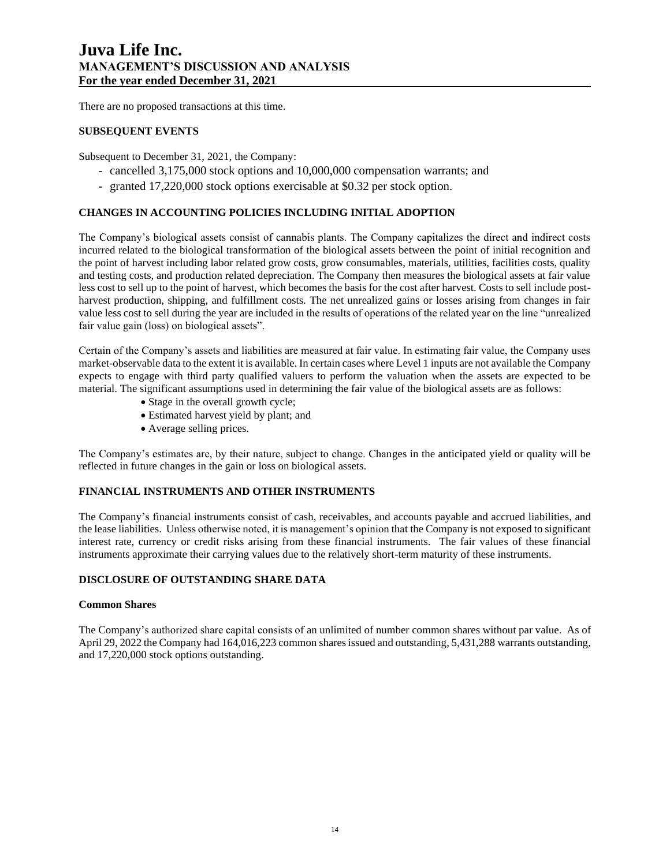There are no proposed transactions at this time.

## **SUBSEQUENT EVENTS**

Subsequent to December 31, 2021, the Company:

- cancelled 3,175,000 stock options and 10,000,000 compensation warrants; and
- granted 17,220,000 stock options exercisable at \$0.32 per stock option.

# **CHANGES IN ACCOUNTING POLICIES INCLUDING INITIAL ADOPTION**

The Company's biological assets consist of cannabis plants. The Company capitalizes the direct and indirect costs incurred related to the biological transformation of the biological assets between the point of initial recognition and the point of harvest including labor related grow costs, grow consumables, materials, utilities, facilities costs, quality and testing costs, and production related depreciation. The Company then measures the biological assets at fair value less cost to sell up to the point of harvest, which becomes the basis for the cost after harvest. Costs to sell include postharvest production, shipping, and fulfillment costs. The net unrealized gains or losses arising from changes in fair value less cost to sell during the year are included in the results of operations of the related year on the line "unrealized fair value gain (loss) on biological assets".

Certain of the Company's assets and liabilities are measured at fair value. In estimating fair value, the Company uses market-observable data to the extent it is available. In certain cases where Level 1 inputs are not available the Company expects to engage with third party qualified valuers to perform the valuation when the assets are expected to be material. The significant assumptions used in determining the fair value of the biological assets are as follows:

- Stage in the overall growth cycle;
- Estimated harvest yield by plant; and
- Average selling prices.

The Company's estimates are, by their nature, subject to change. Changes in the anticipated yield or quality will be reflected in future changes in the gain or loss on biological assets.

## **FINANCIAL INSTRUMENTS AND OTHER INSTRUMENTS**

The Company's financial instruments consist of cash, receivables, and accounts payable and accrued liabilities, and the lease liabilities. Unless otherwise noted, it is management's opinion that the Company is not exposed to significant interest rate, currency or credit risks arising from these financial instruments. The fair values of these financial instruments approximate their carrying values due to the relatively short-term maturity of these instruments.

### **DISCLOSURE OF OUTSTANDING SHARE DATA**

#### **Common Shares**

The Company's authorized share capital consists of an unlimited of number common shares without par value. As of April 29, 2022 the Company had 164,016,223 common shares issued and outstanding, 5,431,288 warrants outstanding, and 17,220,000 stock options outstanding.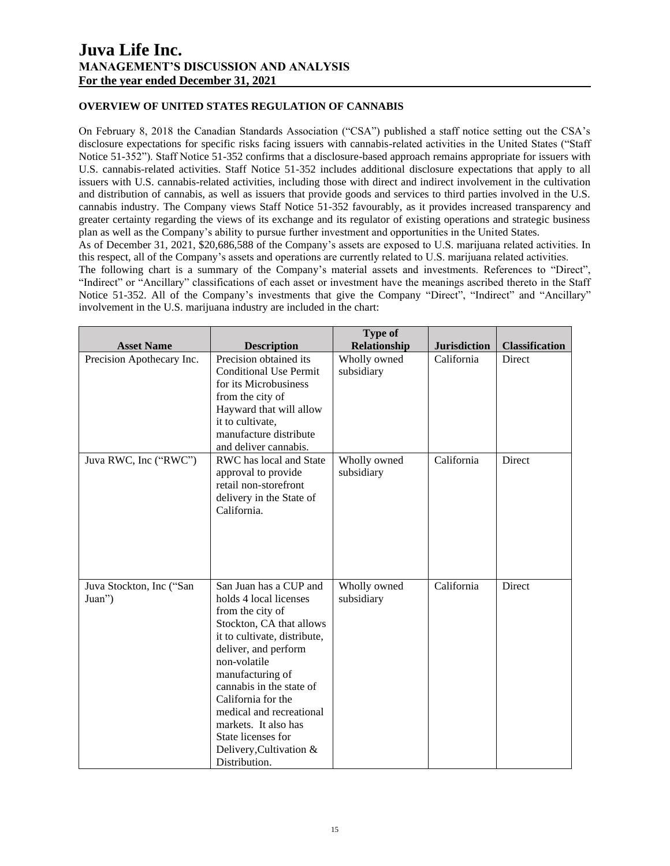# **OVERVIEW OF UNITED STATES REGULATION OF CANNABIS**

On February 8, 2018 the Canadian Standards Association ("CSA") published a staff notice setting out the CSA's disclosure expectations for specific risks facing issuers with cannabis-related activities in the United States ("Staff Notice 51-352"). Staff Notice 51-352 confirms that a disclosure-based approach remains appropriate for issuers with U.S. cannabis-related activities. Staff Notice 51-352 includes additional disclosure expectations that apply to all issuers with U.S. cannabis-related activities, including those with direct and indirect involvement in the cultivation and distribution of cannabis, as well as issuers that provide goods and services to third parties involved in the U.S. cannabis industry. The Company views Staff Notice 51-352 favourably, as it provides increased transparency and greater certainty regarding the views of its exchange and its regulator of existing operations and strategic business plan as well as the Company's ability to pursue further investment and opportunities in the United States.

As of December 31, 2021, \$20,686,588 of the Company's assets are exposed to U.S. marijuana related activities. In this respect, all of the Company's assets and operations are currently related to U.S. marijuana related activities.

The following chart is a summary of the Company's material assets and investments. References to "Direct", "Indirect" or "Ancillary" classifications of each asset or investment have the meanings ascribed thereto in the Staff Notice 51-352. All of the Company's investments that give the Company "Direct", "Indirect" and "Ancillary" involvement in the U.S. marijuana industry are included in the chart:

|                           |                                                  | <b>Type of</b>             |                     |                       |
|---------------------------|--------------------------------------------------|----------------------------|---------------------|-----------------------|
| <b>Asset Name</b>         | <b>Description</b>                               | Relationship               | <b>Jurisdiction</b> | <b>Classification</b> |
| Precision Apothecary Inc. | Precision obtained its<br>Conditional Use Permit | Wholly owned<br>subsidiary | California          | Direct                |
|                           | for its Microbusiness                            |                            |                     |                       |
|                           | from the city of                                 |                            |                     |                       |
|                           | Hayward that will allow                          |                            |                     |                       |
|                           | it to cultivate,                                 |                            |                     |                       |
|                           | manufacture distribute                           |                            |                     |                       |
|                           | and deliver cannabis.                            |                            |                     |                       |
| Juva RWC, Inc ("RWC")     | RWC has local and State                          | Wholly owned               | California          | <b>Direct</b>         |
|                           | approval to provide<br>retail non-storefront     | subsidiary                 |                     |                       |
|                           | delivery in the State of                         |                            |                     |                       |
|                           | California.                                      |                            |                     |                       |
|                           |                                                  |                            |                     |                       |
|                           |                                                  |                            |                     |                       |
|                           |                                                  |                            |                     |                       |
|                           |                                                  |                            |                     |                       |
|                           |                                                  |                            |                     |                       |
| Juva Stockton, Inc ("San  | San Juan has a CUP and                           | Wholly owned               | California          | Direct                |
| Juan")                    | holds 4 local licenses<br>from the city of       | subsidiary                 |                     |                       |
|                           | Stockton, CA that allows                         |                            |                     |                       |
|                           | it to cultivate, distribute,                     |                            |                     |                       |
|                           | deliver, and perform                             |                            |                     |                       |
|                           | non-volatile                                     |                            |                     |                       |
|                           | manufacturing of                                 |                            |                     |                       |
|                           | cannabis in the state of                         |                            |                     |                       |
|                           | California for the                               |                            |                     |                       |
|                           | medical and recreational                         |                            |                     |                       |
|                           | markets. It also has                             |                            |                     |                       |
|                           | State licenses for                               |                            |                     |                       |
|                           | Delivery, Cultivation &<br>Distribution.         |                            |                     |                       |
|                           |                                                  |                            |                     |                       |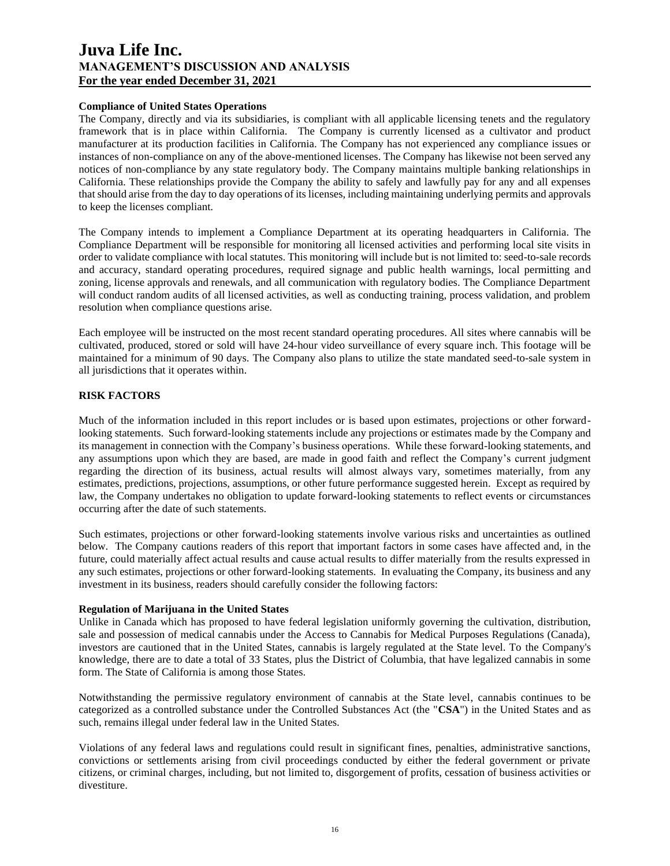### **Compliance of United States Operations**

The Company, directly and via its subsidiaries, is compliant with all applicable licensing tenets and the regulatory framework that is in place within California. The Company is currently licensed as a cultivator and product manufacturer at its production facilities in California. The Company has not experienced any compliance issues or instances of non-compliance on any of the above-mentioned licenses. The Company has likewise not been served any notices of non-compliance by any state regulatory body. The Company maintains multiple banking relationships in California. These relationships provide the Company the ability to safely and lawfully pay for any and all expenses that should arise from the day to day operations of its licenses, including maintaining underlying permits and approvals to keep the licenses compliant.

The Company intends to implement a Compliance Department at its operating headquarters in California. The Compliance Department will be responsible for monitoring all licensed activities and performing local site visits in order to validate compliance with local statutes. This monitoring will include but is not limited to: seed-to-sale records and accuracy, standard operating procedures, required signage and public health warnings, local permitting and zoning, license approvals and renewals, and all communication with regulatory bodies. The Compliance Department will conduct random audits of all licensed activities, as well as conducting training, process validation, and problem resolution when compliance questions arise.

Each employee will be instructed on the most recent standard operating procedures. All sites where cannabis will be cultivated, produced, stored or sold will have 24-hour video surveillance of every square inch. This footage will be maintained for a minimum of 90 days. The Company also plans to utilize the state mandated seed-to-sale system in all jurisdictions that it operates within.

## **RISK FACTORS**

Much of the information included in this report includes or is based upon estimates, projections or other forwardlooking statements. Such forward-looking statements include any projections or estimates made by the Company and its management in connection with the Company's business operations. While these forward-looking statements, and any assumptions upon which they are based, are made in good faith and reflect the Company's current judgment regarding the direction of its business, actual results will almost always vary, sometimes materially, from any estimates, predictions, projections, assumptions, or other future performance suggested herein. Except as required by law, the Company undertakes no obligation to update forward-looking statements to reflect events or circumstances occurring after the date of such statements.

Such estimates, projections or other forward-looking statements involve various risks and uncertainties as outlined below. The Company cautions readers of this report that important factors in some cases have affected and, in the future, could materially affect actual results and cause actual results to differ materially from the results expressed in any such estimates, projections or other forward-looking statements. In evaluating the Company, its business and any investment in its business, readers should carefully consider the following factors:

### **Regulation of Marijuana in the United States**

Unlike in Canada which has proposed to have federal legislation uniformly governing the cultivation, distribution, sale and possession of medical cannabis under the Access to Cannabis for Medical Purposes Regulations (Canada), investors are cautioned that in the United States, cannabis is largely regulated at the State level. To the Company's knowledge, there are to date a total of 33 States, plus the District of Columbia, that have legalized cannabis in some form. The State of California is among those States.

Notwithstanding the permissive regulatory environment of cannabis at the State level, cannabis continues to be categorized as a controlled substance under the Controlled Substances Act (the "**CSA**") in the United States and as such, remains illegal under federal law in the United States.

Violations of any federal laws and regulations could result in significant fines, penalties, administrative sanctions, convictions or settlements arising from civil proceedings conducted by either the federal government or private citizens, or criminal charges, including, but not limited to, disgorgement of profits, cessation of business activities or divestiture.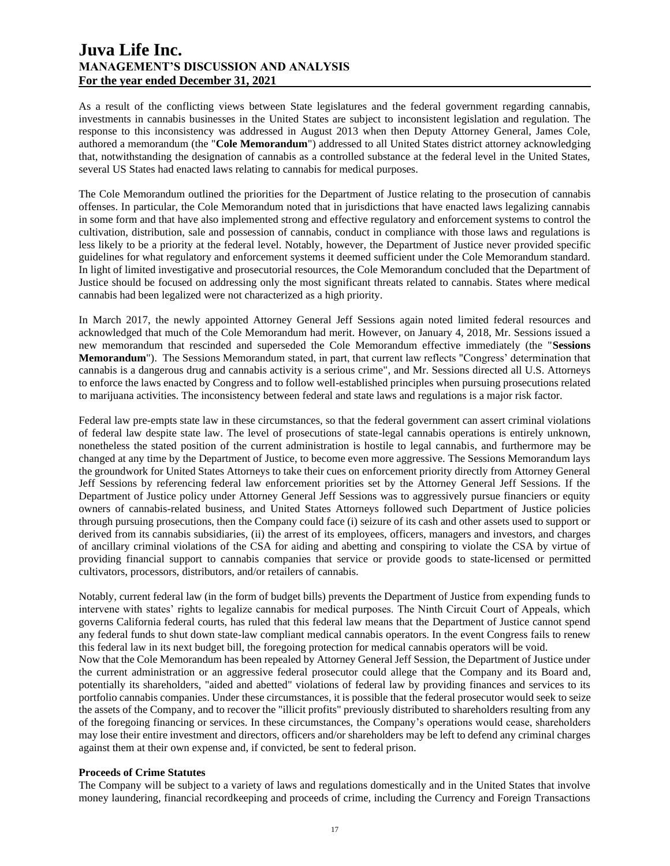As a result of the conflicting views between State legislatures and the federal government regarding cannabis, investments in cannabis businesses in the United States are subject to inconsistent legislation and regulation. The response to this inconsistency was addressed in August 2013 when then Deputy Attorney General, James Cole, authored a memorandum (the "**Cole Memorandum**") addressed to all United States district attorney acknowledging that, notwithstanding the designation of cannabis as a controlled substance at the federal level in the United States, several US States had enacted laws relating to cannabis for medical purposes.

The Cole Memorandum outlined the priorities for the Department of Justice relating to the prosecution of cannabis offenses. In particular, the Cole Memorandum noted that in jurisdictions that have enacted laws legalizing cannabis in some form and that have also implemented strong and effective regulatory and enforcement systems to control the cultivation, distribution, sale and possession of cannabis, conduct in compliance with those laws and regulations is less likely to be a priority at the federal level. Notably, however, the Department of Justice never provided specific guidelines for what regulatory and enforcement systems it deemed sufficient under the Cole Memorandum standard. In light of limited investigative and prosecutorial resources, the Cole Memorandum concluded that the Department of Justice should be focused on addressing only the most significant threats related to cannabis. States where medical cannabis had been legalized were not characterized as a high priority.

In March 2017, the newly appointed Attorney General Jeff Sessions again noted limited federal resources and acknowledged that much of the Cole Memorandum had merit. However, on January 4, 2018, Mr. Sessions issued a new memorandum that rescinded and superseded the Cole Memorandum effective immediately (the "**Sessions Memorandum**"). The Sessions Memorandum stated, in part, that current law reflects "Congress' determination that cannabis is a dangerous drug and cannabis activity is a serious crime", and Mr. Sessions directed all U.S. Attorneys to enforce the laws enacted by Congress and to follow well-established principles when pursuing prosecutions related to marijuana activities. The inconsistency between federal and state laws and regulations is a major risk factor.

Federal law pre-empts state law in these circumstances, so that the federal government can assert criminal violations of federal law despite state law. The level of prosecutions of state-legal cannabis operations is entirely unknown, nonetheless the stated position of the current administration is hostile to legal cannabis, and furthermore may be changed at any time by the Department of Justice, to become even more aggressive. The Sessions Memorandum lays the groundwork for United States Attorneys to take their cues on enforcement priority directly from Attorney General Jeff Sessions by referencing federal law enforcement priorities set by the Attorney General Jeff Sessions. If the Department of Justice policy under Attorney General Jeff Sessions was to aggressively pursue financiers or equity owners of cannabis-related business, and United States Attorneys followed such Department of Justice policies through pursuing prosecutions, then the Company could face (i) seizure of its cash and other assets used to support or derived from its cannabis subsidiaries, (ii) the arrest of its employees, officers, managers and investors, and charges of ancillary criminal violations of the CSA for aiding and abetting and conspiring to violate the CSA by virtue of providing financial support to cannabis companies that service or provide goods to state-licensed or permitted cultivators, processors, distributors, and/or retailers of cannabis.

Notably, current federal law (in the form of budget bills) prevents the Department of Justice from expending funds to intervene with states' rights to legalize cannabis for medical purposes. The Ninth Circuit Court of Appeals, which governs California federal courts, has ruled that this federal law means that the Department of Justice cannot spend any federal funds to shut down state-law compliant medical cannabis operators. In the event Congress fails to renew this federal law in its next budget bill, the foregoing protection for medical cannabis operators will be void.

Now that the Cole Memorandum has been repealed by Attorney General Jeff Session, the Department of Justice under the current administration or an aggressive federal prosecutor could allege that the Company and its Board and, potentially its shareholders, "aided and abetted" violations of federal law by providing finances and services to its portfolio cannabis companies. Under these circumstances, it is possible that the federal prosecutor would seek to seize the assets of the Company, and to recover the "illicit profits" previously distributed to shareholders resulting from any of the foregoing financing or services. In these circumstances, the Company's operations would cease, shareholders may lose their entire investment and directors, officers and/or shareholders may be left to defend any criminal charges against them at their own expense and, if convicted, be sent to federal prison.

### **Proceeds of Crime Statutes**

The Company will be subject to a variety of laws and regulations domestically and in the United States that involve money laundering, financial recordkeeping and proceeds of crime, including the Currency and Foreign Transactions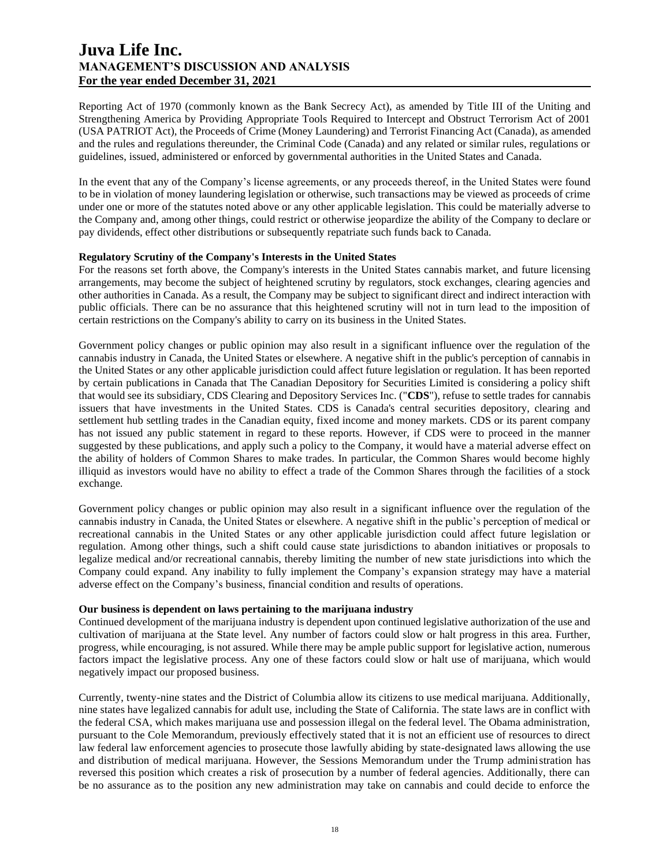Reporting Act of 1970 (commonly known as the Bank Secrecy Act), as amended by Title III of the Uniting and Strengthening America by Providing Appropriate Tools Required to Intercept and Obstruct Terrorism Act of 2001 (USA PATRIOT Act), the Proceeds of Crime (Money Laundering) and Terrorist Financing Act (Canada), as amended and the rules and regulations thereunder, the Criminal Code (Canada) and any related or similar rules, regulations or guidelines, issued, administered or enforced by governmental authorities in the United States and Canada.

In the event that any of the Company's license agreements, or any proceeds thereof, in the United States were found to be in violation of money laundering legislation or otherwise, such transactions may be viewed as proceeds of crime under one or more of the statutes noted above or any other applicable legislation. This could be materially adverse to the Company and, among other things, could restrict or otherwise jeopardize the ability of the Company to declare or pay dividends, effect other distributions or subsequently repatriate such funds back to Canada.

### **Regulatory Scrutiny of the Company's Interests in the United States**

For the reasons set forth above, the Company's interests in the United States cannabis market, and future licensing arrangements, may become the subject of heightened scrutiny by regulators, stock exchanges, clearing agencies and other authorities in Canada. As a result, the Company may be subject to significant direct and indirect interaction with public officials. There can be no assurance that this heightened scrutiny will not in turn lead to the imposition of certain restrictions on the Company's ability to carry on its business in the United States.

Government policy changes or public opinion may also result in a significant influence over the regulation of the cannabis industry in Canada, the United States or elsewhere. A negative shift in the public's perception of cannabis in the United States or any other applicable jurisdiction could affect future legislation or regulation. It has been reported by certain publications in Canada that The Canadian Depository for Securities Limited is considering a policy shift that would see its subsidiary, CDS Clearing and Depository Services Inc. ("**CDS**"), refuse to settle trades for cannabis issuers that have investments in the United States. CDS is Canada's central securities depository, clearing and settlement hub settling trades in the Canadian equity, fixed income and money markets. CDS or its parent company has not issued any public statement in regard to these reports. However, if CDS were to proceed in the manner suggested by these publications, and apply such a policy to the Company, it would have a material adverse effect on the ability of holders of Common Shares to make trades. In particular, the Common Shares would become highly illiquid as investors would have no ability to effect a trade of the Common Shares through the facilities of a stock exchange.

Government policy changes or public opinion may also result in a significant influence over the regulation of the cannabis industry in Canada, the United States or elsewhere. A negative shift in the public's perception of medical or recreational cannabis in the United States or any other applicable jurisdiction could affect future legislation or regulation. Among other things, such a shift could cause state jurisdictions to abandon initiatives or proposals to legalize medical and/or recreational cannabis, thereby limiting the number of new state jurisdictions into which the Company could expand. Any inability to fully implement the Company's expansion strategy may have a material adverse effect on the Company's business, financial condition and results of operations.

#### **Our business is dependent on laws pertaining to the marijuana industry**

Continued development of the marijuana industry is dependent upon continued legislative authorization of the use and cultivation of marijuana at the State level. Any number of factors could slow or halt progress in this area. Further, progress, while encouraging, is not assured. While there may be ample public support for legislative action, numerous factors impact the legislative process. Any one of these factors could slow or halt use of marijuana, which would negatively impact our proposed business.

Currently, twenty-nine states and the District of Columbia allow its citizens to use medical marijuana. Additionally, nine states have legalized cannabis for adult use, including the State of California. The state laws are in conflict with the federal CSA, which makes marijuana use and possession illegal on the federal level. The Obama administration, pursuant to the Cole Memorandum, previously effectively stated that it is not an efficient use of resources to direct law federal law enforcement agencies to prosecute those lawfully abiding by state-designated laws allowing the use and distribution of medical marijuana. However, the Sessions Memorandum under the Trump administration has reversed this position which creates a risk of prosecution by a number of federal agencies. Additionally, there can be no assurance as to the position any new administration may take on cannabis and could decide to enforce the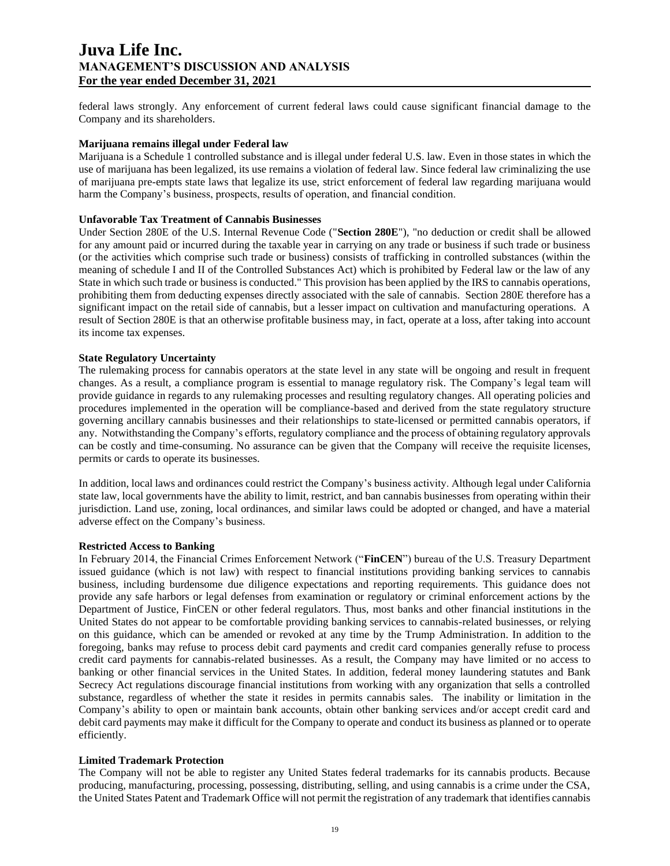federal laws strongly. Any enforcement of current federal laws could cause significant financial damage to the Company and its shareholders.

### **Marijuana remains illegal under Federal law**

Marijuana is a Schedule 1 controlled substance and is illegal under federal U.S. law. Even in those states in which the use of marijuana has been legalized, its use remains a violation of federal law. Since federal law criminalizing the use of marijuana pre-empts state laws that legalize its use, strict enforcement of federal law regarding marijuana would harm the Company's business, prospects, results of operation, and financial condition.

## **Unfavorable Tax Treatment of Cannabis Businesses**

Under Section 280E of the U.S. Internal Revenue Code ("**Section 280E**"), "no deduction or credit shall be allowed for any amount paid or incurred during the taxable year in carrying on any trade or business if such trade or business (or the activities which comprise such trade or business) consists of trafficking in controlled substances (within the meaning of schedule I and II of the Controlled Substances Act) which is prohibited by Federal law or the law of any State in which such trade or business is conducted." This provision has been applied by the IRS to cannabis operations, prohibiting them from deducting expenses directly associated with the sale of cannabis. Section 280E therefore has a significant impact on the retail side of cannabis, but a lesser impact on cultivation and manufacturing operations. A result of Section 280E is that an otherwise profitable business may, in fact, operate at a loss, after taking into account its income tax expenses.

## **State Regulatory Uncertainty**

The rulemaking process for cannabis operators at the state level in any state will be ongoing and result in frequent changes. As a result, a compliance program is essential to manage regulatory risk. The Company's legal team will provide guidance in regards to any rulemaking processes and resulting regulatory changes. All operating policies and procedures implemented in the operation will be compliance-based and derived from the state regulatory structure governing ancillary cannabis businesses and their relationships to state-licensed or permitted cannabis operators, if any. Notwithstanding the Company's efforts, regulatory compliance and the process of obtaining regulatory approvals can be costly and time-consuming. No assurance can be given that the Company will receive the requisite licenses, permits or cards to operate its businesses.

In addition, local laws and ordinances could restrict the Company's business activity. Although legal under California state law, local governments have the ability to limit, restrict, and ban cannabis businesses from operating within their jurisdiction. Land use, zoning, local ordinances, and similar laws could be adopted or changed, and have a material adverse effect on the Company's business.

### **Restricted Access to Banking**

In February 2014, the Financial Crimes Enforcement Network ("**FinCEN**") bureau of the U.S. Treasury Department issued guidance (which is not law) with respect to financial institutions providing banking services to cannabis business, including burdensome due diligence expectations and reporting requirements. This guidance does not provide any safe harbors or legal defenses from examination or regulatory or criminal enforcement actions by the Department of Justice, FinCEN or other federal regulators. Thus, most banks and other financial institutions in the United States do not appear to be comfortable providing banking services to cannabis-related businesses, or relying on this guidance, which can be amended or revoked at any time by the Trump Administration. In addition to the foregoing, banks may refuse to process debit card payments and credit card companies generally refuse to process credit card payments for cannabis-related businesses. As a result, the Company may have limited or no access to banking or other financial services in the United States. In addition, federal money laundering statutes and Bank Secrecy Act regulations discourage financial institutions from working with any organization that sells a controlled substance, regardless of whether the state it resides in permits cannabis sales. The inability or limitation in the Company's ability to open or maintain bank accounts, obtain other banking services and/or accept credit card and debit card payments may make it difficult for the Company to operate and conduct its business as planned or to operate efficiently.

### **Limited Trademark Protection**

The Company will not be able to register any United States federal trademarks for its cannabis products. Because producing, manufacturing, processing, possessing, distributing, selling, and using cannabis is a crime under the CSA, the United States Patent and Trademark Office will not permit the registration of any trademark that identifies cannabis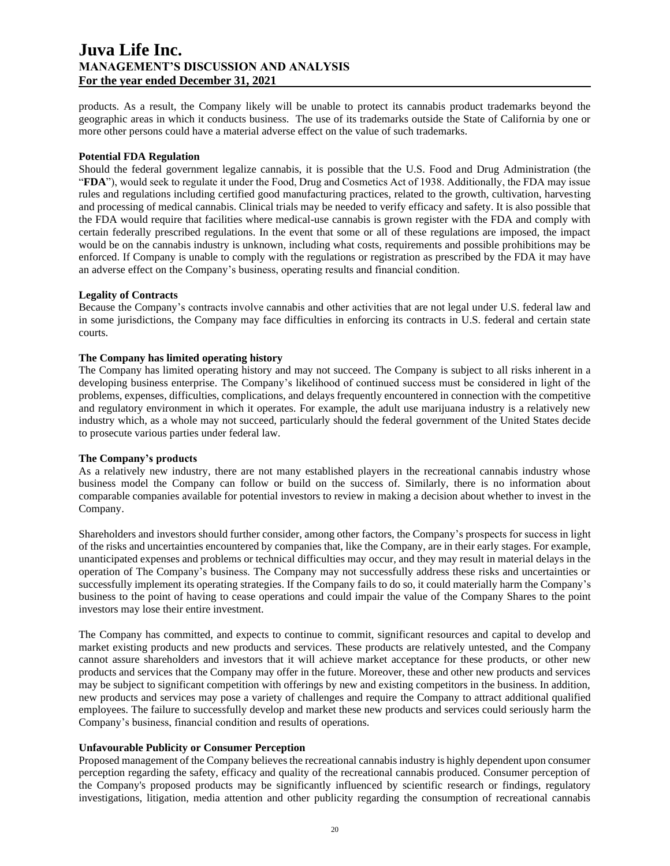products. As a result, the Company likely will be unable to protect its cannabis product trademarks beyond the geographic areas in which it conducts business. The use of its trademarks outside the State of California by one or more other persons could have a material adverse effect on the value of such trademarks.

## **Potential FDA Regulation**

Should the federal government legalize cannabis, it is possible that the U.S. Food and Drug Administration (the "**FDA**"), would seek to regulate it under the Food, Drug and Cosmetics Act of 1938. Additionally, the FDA may issue rules and regulations including certified good manufacturing practices, related to the growth, cultivation, harvesting and processing of medical cannabis. Clinical trials may be needed to verify efficacy and safety. It is also possible that the FDA would require that facilities where medical-use cannabis is grown register with the FDA and comply with certain federally prescribed regulations. In the event that some or all of these regulations are imposed, the impact would be on the cannabis industry is unknown, including what costs, requirements and possible prohibitions may be enforced. If Company is unable to comply with the regulations or registration as prescribed by the FDA it may have an adverse effect on the Company's business, operating results and financial condition.

## **Legality of Contracts**

Because the Company's contracts involve cannabis and other activities that are not legal under U.S. federal law and in some jurisdictions, the Company may face difficulties in enforcing its contracts in U.S. federal and certain state courts.

### **The Company has limited operating history**

The Company has limited operating history and may not succeed. The Company is subject to all risks inherent in a developing business enterprise. The Company's likelihood of continued success must be considered in light of the problems, expenses, difficulties, complications, and delays frequently encountered in connection with the competitive and regulatory environment in which it operates. For example, the adult use marijuana industry is a relatively new industry which, as a whole may not succeed, particularly should the federal government of the United States decide to prosecute various parties under federal law.

## **The Company's products**

As a relatively new industry, there are not many established players in the recreational cannabis industry whose business model the Company can follow or build on the success of. Similarly, there is no information about comparable companies available for potential investors to review in making a decision about whether to invest in the Company.

Shareholders and investors should further consider, among other factors, the Company's prospects for success in light of the risks and uncertainties encountered by companies that, like the Company, are in their early stages. For example, unanticipated expenses and problems or technical difficulties may occur, and they may result in material delays in the operation of The Company's business. The Company may not successfully address these risks and uncertainties or successfully implement its operating strategies. If the Company fails to do so, it could materially harm the Company's business to the point of having to cease operations and could impair the value of the Company Shares to the point investors may lose their entire investment.

The Company has committed, and expects to continue to commit, significant resources and capital to develop and market existing products and new products and services. These products are relatively untested, and the Company cannot assure shareholders and investors that it will achieve market acceptance for these products, or other new products and services that the Company may offer in the future. Moreover, these and other new products and services may be subject to significant competition with offerings by new and existing competitors in the business. In addition, new products and services may pose a variety of challenges and require the Company to attract additional qualified employees. The failure to successfully develop and market these new products and services could seriously harm the Company's business, financial condition and results of operations.

## **Unfavourable Publicity or Consumer Perception**

Proposed management of the Company believes the recreational cannabis industry is highly dependent upon consumer perception regarding the safety, efficacy and quality of the recreational cannabis produced. Consumer perception of the Company's proposed products may be significantly influenced by scientific research or findings, regulatory investigations, litigation, media attention and other publicity regarding the consumption of recreational cannabis